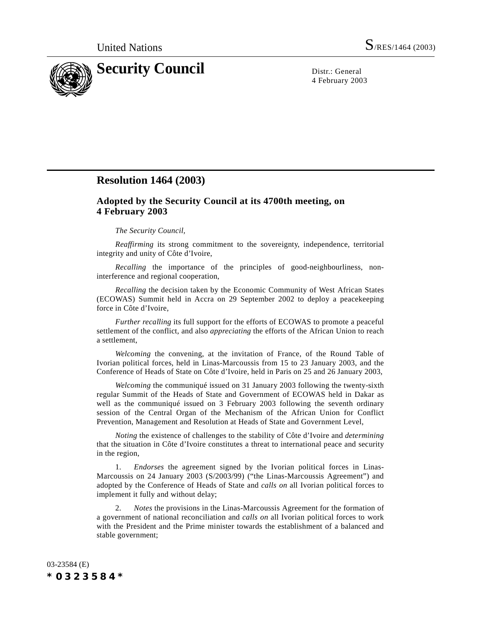

4 February 2003

## **Resolution 1464 (2003)**

## **Adopted by the Security Council at its 4700th meeting, on 4 February 2003**

## *The Security Council,*

*Reaffirming* its strong commitment to the sovereignty, independence, territorial integrity and unity of Côte d'Ivoire,

*Recalling* the importance of the principles of good-neighbourliness, noninterference and regional cooperation,

*Recalling* the decision taken by the Economic Community of West African States (ECOWAS) Summit held in Accra on 29 September 2002 to deploy a peacekeeping force in Côte d'Ivoire,

*Further recalling* its full support for the efforts of ECOWAS to promote a peaceful settlement of the conflict, and also *appreciating* the efforts of the African Union to reach a settlement,

*Welcoming* the convening, at the invitation of France, of the Round Table of Ivorian political forces, held in Linas-Marcoussis from 15 to 23 January 2003, and the Conference of Heads of State on Côte d'Ivoire, held in Paris on 25 and 26 January 2003,

*Welcoming* the communiqué issued on 31 January 2003 following the twenty-sixth regular Summit of the Heads of State and Government of ECOWAS held in Dakar as well as the communiqué issued on 3 February 2003 following the seventh ordinary session of the Central Organ of the Mechanism of the African Union for Conflict Prevention, Management and Resolution at Heads of State and Government Level,

*Noting* the existence of challenges to the stability of Côte d'Ivoire and *determining* that the situation in Côte d'Ivoire constitutes a threat to international peace and security in the region,

1. *Endorses* the agreement signed by the Ivorian political forces in Linas-Marcoussis on 24 January 2003 (S/2003/99) ("the Linas-Marcoussis Agreement") and adopted by the Conference of Heads of State and *calls on* all Ivorian political forces to implement it fully and without delay;

*Notes* the provisions in the Linas-Marcoussis Agreement for the formation of a government of national reconciliation and *calls on* all Ivorian political forces to work with the President and the Prime minister towards the establishment of a balanced and stable government;

03-23584 (E) *\*0323584\**